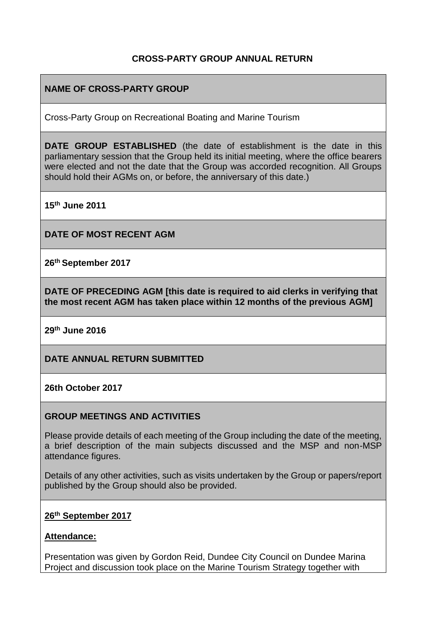## **CROSS-PARTY GROUP ANNUAL RETURN**

## **NAME OF CROSS-PARTY GROUP**

Cross-Party Group on Recreational Boating and Marine Tourism

**DATE GROUP ESTABLISHED** (the date of establishment is the date in this parliamentary session that the Group held its initial meeting, where the office bearers were elected and not the date that the Group was accorded recognition. All Groups should hold their AGMs on, or before, the anniversary of this date.)

**15th June 2011**

**DATE OF MOST RECENT AGM**

**26th September 2017**

**DATE OF PRECEDING AGM [this date is required to aid clerks in verifying that the most recent AGM has taken place within 12 months of the previous AGM]**

**29th June 2016**

**DATE ANNUAL RETURN SUBMITTED**

**26th October 2017**

#### **GROUP MEETINGS AND ACTIVITIES**

Please provide details of each meeting of the Group including the date of the meeting, a brief description of the main subjects discussed and the MSP and non-MSP attendance figures.

Details of any other activities, such as visits undertaken by the Group or papers/report published by the Group should also be provided.

#### **26th September 2017**

#### **Attendance:**

Presentation was given by Gordon Reid, Dundee City Council on Dundee Marina Project and discussion took place on the Marine Tourism Strategy together with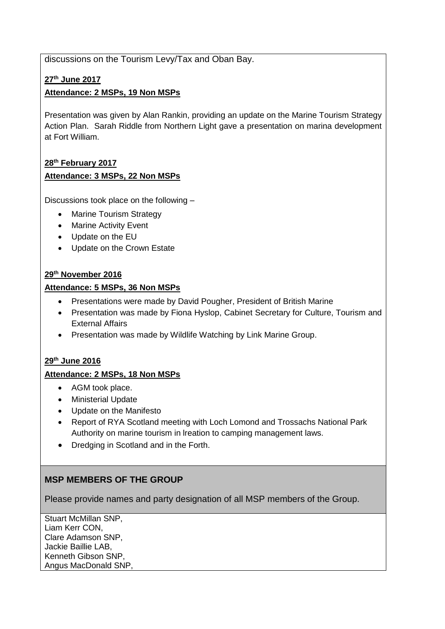discussions on the Tourism Levy/Tax and Oban Bay.

#### **27th June 2017**

#### **Attendance: 2 MSPs, 19 Non MSPs**

Presentation was given by Alan Rankin, providing an update on the Marine Tourism Strategy Action Plan. Sarah Riddle from Northern Light gave a presentation on marina development at Fort William.

#### **28th February 2017**

#### **Attendance: 3 MSPs, 22 Non MSPs**

Discussions took place on the following –

- Marine Tourism Strategy
- Marine Activity Event
- Update on the EU
- Update on the Crown Estate

#### **29th November 2016**

#### **Attendance: 5 MSPs, 36 Non MSPs**

- Presentations were made by David Pougher, President of British Marine
- Presentation was made by Fiona Hyslop, Cabinet Secretary for Culture, Tourism and External Affairs
- Presentation was made by Wildlife Watching by Link Marine Group.

#### **29th June 2016**

#### **Attendance: 2 MSPs, 18 Non MSPs**

- AGM took place.
- Ministerial Update
- Update on the Manifesto
- Report of RYA Scotland meeting with Loch Lomond and Trossachs National Park Authority on marine tourism in lreation to camping management laws.
- Dredging in Scotland and in the Forth.

## **MSP MEMBERS OF THE GROUP**

Please provide names and party designation of all MSP members of the Group.

Stuart McMillan SNP, Liam Kerr CON, Clare Adamson SNP, Jackie Baillie LAB, Kenneth Gibson SNP, Angus MacDonald SNP,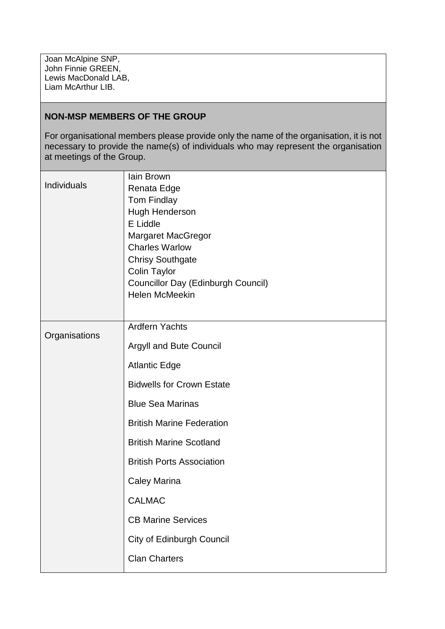Joan McAlpine SNP, John Finnie GREEN, Lewis MacDonald LAB, Liam McArthur LIB.

## **NON-MSP MEMBERS OF THE GROUP**

For organisational members please provide only the name of the organisation, it is not necessary to provide the name(s) of individuals who may represent the organisation at meetings of the Group.

| Individuals   | lain Brown<br>Renata Edge          |
|---------------|------------------------------------|
|               | <b>Tom Findlay</b>                 |
|               | Hugh Henderson                     |
|               | E Liddle                           |
|               | <b>Margaret MacGregor</b>          |
|               | <b>Charles Warlow</b>              |
|               | <b>Chrisy Southgate</b>            |
|               | <b>Colin Taylor</b>                |
|               | Councillor Day (Edinburgh Council) |
|               | <b>Helen McMeekin</b>              |
|               |                                    |
| Organisations | <b>Ardfern Yachts</b>              |
|               | <b>Argyll and Bute Council</b>     |
|               | <b>Atlantic Edge</b>               |
|               | <b>Bidwells for Crown Estate</b>   |
|               | <b>Blue Sea Marinas</b>            |
|               | <b>British Marine Federation</b>   |
|               | <b>British Marine Scotland</b>     |
|               | <b>British Ports Association</b>   |
|               | <b>Caley Marina</b>                |
|               | <b>CALMAC</b>                      |
|               | <b>CB Marine Services</b>          |
|               | City of Edinburgh Council          |
|               | <b>Clan Charters</b>               |
|               |                                    |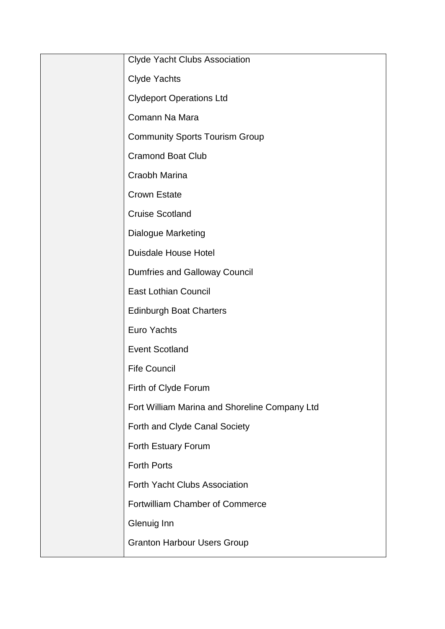| <b>Clyde Yacht Clubs Association</b>          |
|-----------------------------------------------|
| <b>Clyde Yachts</b>                           |
| <b>Clydeport Operations Ltd</b>               |
| Comann Na Mara                                |
| <b>Community Sports Tourism Group</b>         |
| <b>Cramond Boat Club</b>                      |
| Craobh Marina                                 |
| <b>Crown Estate</b>                           |
| <b>Cruise Scotland</b>                        |
| <b>Dialogue Marketing</b>                     |
| <b>Duisdale House Hotel</b>                   |
| <b>Dumfries and Galloway Council</b>          |
| <b>East Lothian Council</b>                   |
| <b>Edinburgh Boat Charters</b>                |
| <b>Euro Yachts</b>                            |
| <b>Event Scotland</b>                         |
| <b>Fife Council</b>                           |
| Firth of Clyde Forum                          |
| Fort William Marina and Shoreline Company Ltd |
| Forth and Clyde Canal Society                 |
| Forth Estuary Forum                           |
| <b>Forth Ports</b>                            |
| <b>Forth Yacht Clubs Association</b>          |
| <b>Fortwilliam Chamber of Commerce</b>        |
| Glenuig Inn                                   |
| <b>Granton Harbour Users Group</b>            |
|                                               |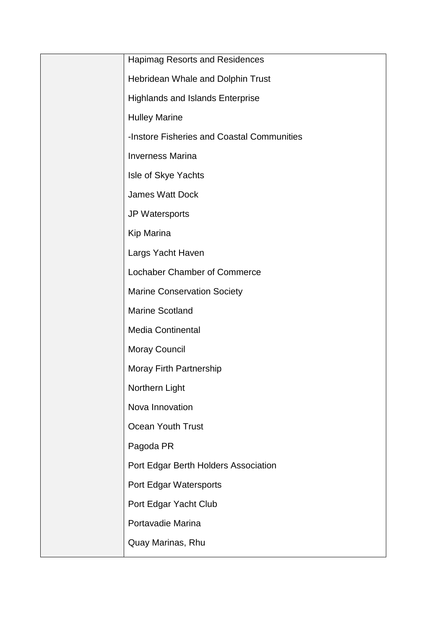| <b>Hapimag Resorts and Residences</b>      |
|--------------------------------------------|
| Hebridean Whale and Dolphin Trust          |
| <b>Highlands and Islands Enterprise</b>    |
| <b>Hulley Marine</b>                       |
| -Instore Fisheries and Coastal Communities |
| <b>Inverness Marina</b>                    |
| Isle of Skye Yachts                        |
| <b>James Watt Dock</b>                     |
| JP Watersports                             |
| Kip Marina                                 |
| Largs Yacht Haven                          |
| <b>Lochaber Chamber of Commerce</b>        |
| <b>Marine Conservation Society</b>         |
| <b>Marine Scotland</b>                     |
| Media Continental                          |
| <b>Moray Council</b>                       |
| <b>Moray Firth Partnership</b>             |
| Northern Light                             |
| Nova Innovation                            |
| Ocean Youth Trust                          |
| Pagoda PR                                  |
| Port Edgar Berth Holders Association       |
| Port Edgar Watersports                     |
| Port Edgar Yacht Club                      |
| Portavadie Marina                          |
| Quay Marinas, Rhu                          |
|                                            |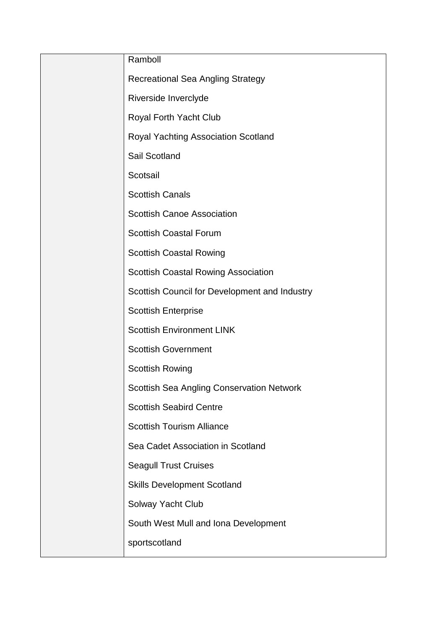| Ramboll                                          |
|--------------------------------------------------|
| <b>Recreational Sea Angling Strategy</b>         |
| Riverside Inverclyde                             |
| Royal Forth Yacht Club                           |
| Royal Yachting Association Scotland              |
| Sail Scotland                                    |
| Scotsail                                         |
| <b>Scottish Canals</b>                           |
| <b>Scottish Canoe Association</b>                |
| <b>Scottish Coastal Forum</b>                    |
| <b>Scottish Coastal Rowing</b>                   |
| <b>Scottish Coastal Rowing Association</b>       |
| Scottish Council for Development and Industry    |
| <b>Scottish Enterprise</b>                       |
| <b>Scottish Environment LINK</b>                 |
| <b>Scottish Government</b>                       |
| <b>Scottish Rowing</b>                           |
| <b>Scottish Sea Angling Conservation Network</b> |
| <b>Scottish Seabird Centre</b>                   |
| <b>Scottish Tourism Alliance</b>                 |
| Sea Cadet Association in Scotland                |
| <b>Seagull Trust Cruises</b>                     |
| <b>Skills Development Scotland</b>               |
| Solway Yacht Club                                |
| South West Mull and Iona Development             |
| sportscotland                                    |
|                                                  |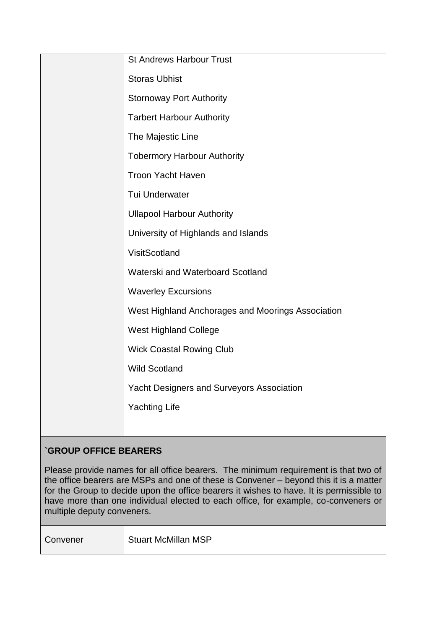|  | <b>St Andrews Harbour Trust</b>                   |
|--|---------------------------------------------------|
|  | <b>Storas Ubhist</b>                              |
|  | <b>Stornoway Port Authority</b>                   |
|  | <b>Tarbert Harbour Authority</b>                  |
|  | The Majestic Line                                 |
|  | <b>Tobermory Harbour Authority</b>                |
|  | <b>Troon Yacht Haven</b>                          |
|  | Tui Underwater                                    |
|  | <b>Ullapool Harbour Authority</b>                 |
|  | University of Highlands and Islands               |
|  | VisitScotland                                     |
|  | Waterski and Waterboard Scotland                  |
|  | <b>Waverley Excursions</b>                        |
|  | West Highland Anchorages and Moorings Association |
|  | <b>West Highland College</b>                      |
|  | <b>Wick Coastal Rowing Club</b>                   |
|  | <b>Wild Scotland</b>                              |
|  | <b>Yacht Designers and Surveyors Association</b>  |
|  | <b>Yachting Life</b>                              |
|  |                                                   |

# **`GROUP OFFICE BEARERS**

Please provide names for all office bearers. The minimum requirement is that two of the office bearers are MSPs and one of these is Convener – beyond this it is a matter for the Group to decide upon the office bearers it wishes to have. It is permissible to have more than one individual elected to each office, for example, co-conveners or multiple deputy conveners.

| Convener | <b>Stuart McMillan MSP</b> |
|----------|----------------------------|
|----------|----------------------------|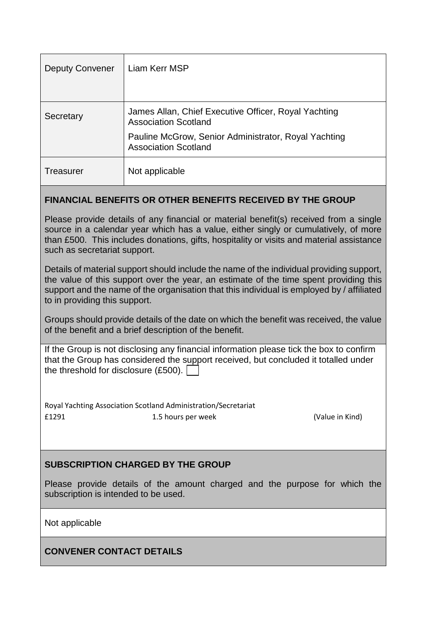| <b>Deputy Convener</b> | Liam Kerr MSP                                                                       |
|------------------------|-------------------------------------------------------------------------------------|
| Secretary              | James Allan, Chief Executive Officer, Royal Yachting<br><b>Association Scotland</b> |
|                        | Pauline McGrow, Senior Administrator, Royal Yachting<br><b>Association Scotland</b> |
| Treasurer              | Not applicable                                                                      |

## **FINANCIAL BENEFITS OR OTHER BENEFITS RECEIVED BY THE GROUP**

Please provide details of any financial or material benefit(s) received from a single source in a calendar year which has a value, either singly or cumulatively, of more than £500. This includes donations, gifts, hospitality or visits and material assistance such as secretariat support.

Details of material support should include the name of the individual providing support, the value of this support over the year, an estimate of the time spent providing this support and the name of the organisation that this individual is employed by / affiliated to in providing this support.

Groups should provide details of the date on which the benefit was received, the value of the benefit and a brief description of the benefit.

If the Group is not disclosing any financial information please tick the box to confirm that the Group has considered the support received, but concluded it totalled under the threshold for disclosure (£500).  $\Box$ 

Royal Yachting Association Scotland Administration/Secretariat £1291 1.5 hours per week (Value in Kind)

## **SUBSCRIPTION CHARGED BY THE GROUP**

Please provide details of the amount charged and the purpose for which the subscription is intended to be used.

Not applicable

**CONVENER CONTACT DETAILS**